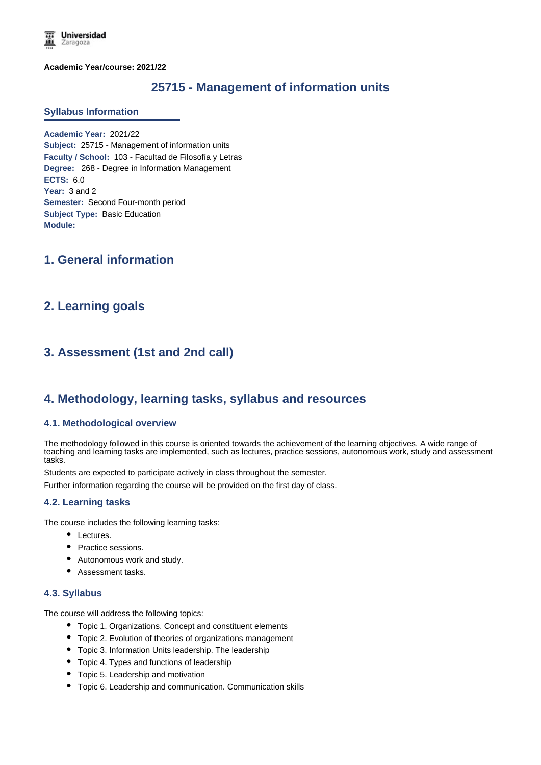**Academic Year/course: 2021/22**

# **25715 - Management of information units**

#### **Syllabus Information**

**Academic Year:** 2021/22 **Subject:** 25715 - Management of information units **Faculty / School:** 103 - Facultad de Filosofía y Letras **Degree:** 268 - Degree in Information Management **ECTS:** 6.0 **Year:** 3 and 2 **Semester:** Second Four-month period **Subject Type:** Basic Education **Module:**

## **1. General information**

## **2. Learning goals**

# **3. Assessment (1st and 2nd call)**

## **4. Methodology, learning tasks, syllabus and resources**

#### **4.1. Methodological overview**

The methodology followed in this course is oriented towards the achievement of the learning objectives. A wide range of teaching and learning tasks are implemented, such as lectures, practice sessions, autonomous work, study and assessment tasks.

Students are expected to participate actively in class throughout the semester.

Further information regarding the course will be provided on the first day of class.

### **4.2. Learning tasks**

The course includes the following learning tasks:

- Lectures.
- Practice sessions.
- Autonomous work and study.
- Assessment tasks.

#### **4.3. Syllabus**

The course will address the following topics:

- Topic 1. Organizations. Concept and constituent elements
- Topic 2. Evolution of theories of organizations management
- Topic 3. Information Units leadership. The leadership
- Topic 4. Types and functions of leadership
- Topic 5. Leadership and motivation
- Topic 6. Leadership and communication. Communication skills